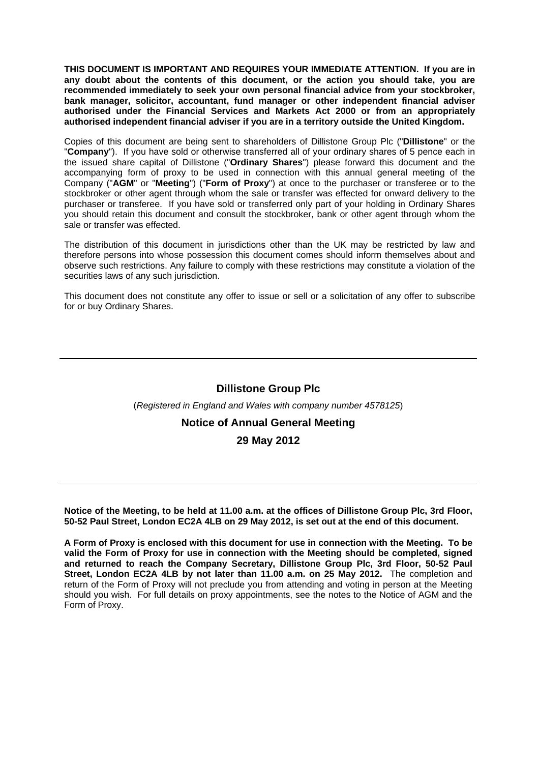**THIS DOCUMENT IS IMPORTANT AND REQUIRES YOUR IMMEDIATE ATTENTION. If you are in any doubt about the contents of this document, or the action you should take, you are recommended immediately to seek your own personal financial advice from your stockbroker, bank manager, solicitor, accountant, fund manager or other independent financial adviser authorised under the Financial Services and Markets Act 2000 or from an appropriately authorised independent financial adviser if you are in a territory outside the United Kingdom.** 

Copies of this document are being sent to shareholders of Dillistone Group Plc ("**Dillistone**" or the "**Company**"). If you have sold or otherwise transferred all of your ordinary shares of 5 pence each in the issued share capital of Dillistone ("**Ordinary Shares**") please forward this document and the accompanying form of proxy to be used in connection with this annual general meeting of the Company ("**AGM**" or "**Meeting**") ("**Form of Proxy**") at once to the purchaser or transferee or to the stockbroker or other agent through whom the sale or transfer was effected for onward delivery to the purchaser or transferee. If you have sold or transferred only part of your holding in Ordinary Shares you should retain this document and consult the stockbroker, bank or other agent through whom the sale or transfer was effected.

The distribution of this document in jurisdictions other than the UK may be restricted by law and therefore persons into whose possession this document comes should inform themselves about and observe such restrictions. Any failure to comply with these restrictions may constitute a violation of the securities laws of any such jurisdiction.

This document does not constitute any offer to issue or sell or a solicitation of any offer to subscribe for or buy Ordinary Shares.

# **Dillistone Group Plc**

#### (*Registered in England and Wales with company number 4578125*)

# **Notice of Annual General Meeting**

# **29 May 2012**

**Notice of the Meeting, to be held at 11.00 a.m. at the offices of Dillistone Group Plc, 3rd Floor, 50-52 Paul Street, London EC2A 4LB on 29 May 2012, is set out at the end of this document.** 

**A Form of Proxy is enclosed with this document for use in connection with the Meeting. To be valid the Form of Proxy for use in connection with the Meeting should be completed, signed and returned to reach the Company Secretary, Dillistone Group Plc, 3rd Floor, 50-52 Paul Street, London EC2A 4LB by not later than 11.00 a.m. on 25 May 2012.** The completion and return of the Form of Proxy will not preclude you from attending and voting in person at the Meeting should you wish. For full details on proxy appointments, see the notes to the Notice of AGM and the Form of Proxy.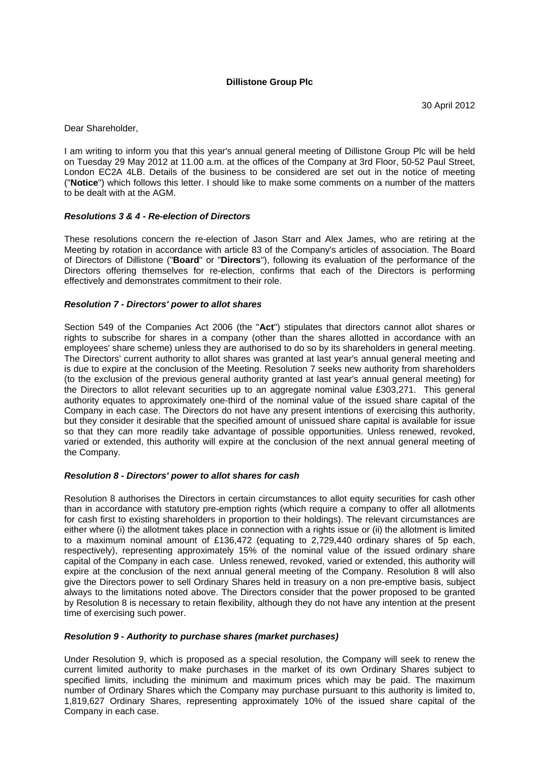# **Dillistone Group Plc**

Dear Shareholder,

I am writing to inform you that this year's annual general meeting of Dillistone Group Plc will be held on Tuesday 29 May 2012 at 11.00 a.m. at the offices of the Company at 3rd Floor, 50-52 Paul Street, London EC2A 4LB. Details of the business to be considered are set out in the notice of meeting ("**Notice**") which follows this letter. I should like to make some comments on a number of the matters to be dealt with at the AGM.

#### *Resolutions 3 & 4 - Re-election of Directors*

These resolutions concern the re-election of Jason Starr and Alex James, who are retiring at the Meeting by rotation in accordance with article 83 of the Company's articles of association. The Board of Directors of Dillistone ("**Board**" or "**Directors**"), following its evaluation of the performance of the Directors offering themselves for re-election, confirms that each of the Directors is performing effectively and demonstrates commitment to their role.

### *Resolution 7 - Directors' power to allot shares*

Section 549 of the Companies Act 2006 (the "**Act**") stipulates that directors cannot allot shares or rights to subscribe for shares in a company (other than the shares allotted in accordance with an employees' share scheme) unless they are authorised to do so by its shareholders in general meeting. The Directors' current authority to allot shares was granted at last year's annual general meeting and is due to expire at the conclusion of the Meeting. Resolution 7 seeks new authority from shareholders (to the exclusion of the previous general authority granted at last year's annual general meeting) for the Directors to allot relevant securities up to an aggregate nominal value £303,271. This general authority equates to approximately one-third of the nominal value of the issued share capital of the Company in each case. The Directors do not have any present intentions of exercising this authority, but they consider it desirable that the specified amount of unissued share capital is available for issue so that they can more readily take advantage of possible opportunities. Unless renewed, revoked, varied or extended, this authority will expire at the conclusion of the next annual general meeting of the Company.

#### *Resolution 8 - Directors' power to allot shares for cash*

Resolution 8 authorises the Directors in certain circumstances to allot equity securities for cash other than in accordance with statutory pre-emption rights (which require a company to offer all allotments for cash first to existing shareholders in proportion to their holdings). The relevant circumstances are either where (i) the allotment takes place in connection with a rights issue or (ii) the allotment is limited to a maximum nominal amount of £136,472 (equating to 2,729,440 ordinary shares of 5p each, respectively), representing approximately 15% of the nominal value of the issued ordinary share capital of the Company in each case. Unless renewed, revoked, varied or extended, this authority will expire at the conclusion of the next annual general meeting of the Company. Resolution 8 will also give the Directors power to sell Ordinary Shares held in treasury on a non pre-emptive basis, subject always to the limitations noted above. The Directors consider that the power proposed to be granted by Resolution 8 is necessary to retain flexibility, although they do not have any intention at the present time of exercising such power.

#### *Resolution 9 - Authority to purchase shares (market purchases)*

Under Resolution 9, which is proposed as a special resolution, the Company will seek to renew the current limited authority to make purchases in the market of its own Ordinary Shares subject to specified limits, including the minimum and maximum prices which may be paid. The maximum number of Ordinary Shares which the Company may purchase pursuant to this authority is limited to, 1,819,627 Ordinary Shares, representing approximately 10% of the issued share capital of the Company in each case.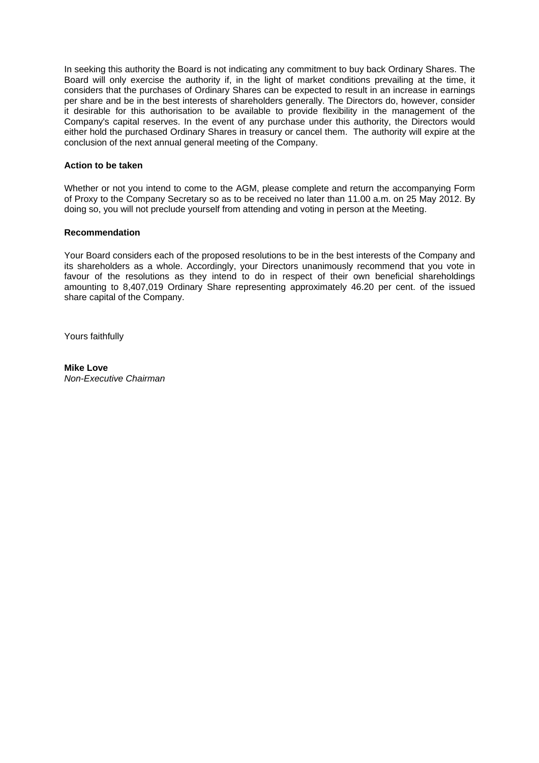In seeking this authority the Board is not indicating any commitment to buy back Ordinary Shares. The Board will only exercise the authority if, in the light of market conditions prevailing at the time, it considers that the purchases of Ordinary Shares can be expected to result in an increase in earnings per share and be in the best interests of shareholders generally. The Directors do, however, consider it desirable for this authorisation to be available to provide flexibility in the management of the Company's capital reserves. In the event of any purchase under this authority, the Directors would either hold the purchased Ordinary Shares in treasury or cancel them. The authority will expire at the conclusion of the next annual general meeting of the Company.

### **Action to be taken**

Whether or not you intend to come to the AGM, please complete and return the accompanying Form of Proxy to the Company Secretary so as to be received no later than 11.00 a.m. on 25 May 2012. By doing so, you will not preclude yourself from attending and voting in person at the Meeting.

### **Recommendation**

Your Board considers each of the proposed resolutions to be in the best interests of the Company and its shareholders as a whole. Accordingly, your Directors unanimously recommend that you vote in favour of the resolutions as they intend to do in respect of their own beneficial shareholdings amounting to 8,407,019 Ordinary Share representing approximately 46.20 per cent. of the issued share capital of the Company.

Yours faithfully

#### **Mike Love** *Non-Executive Chairman*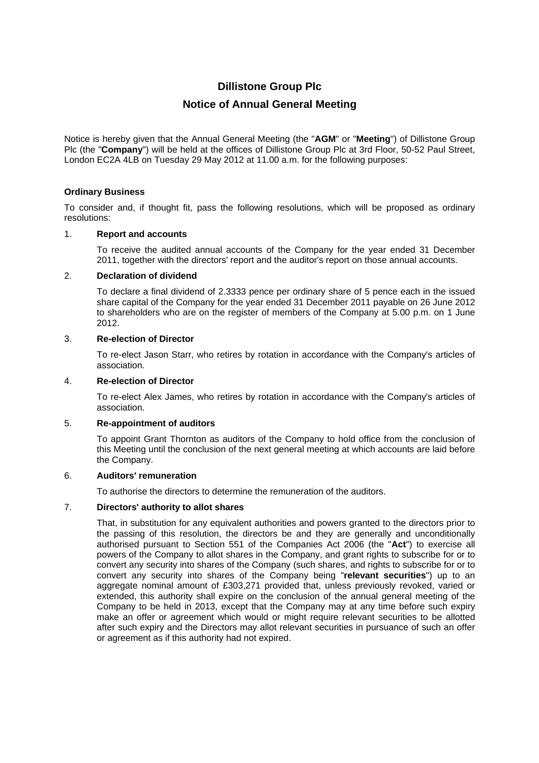# **Dillistone Group Plc**

# **Notice of Annual General Meeting**

Notice is hereby given that the Annual General Meeting (the "**AGM**" or "**Meeting**") of Dillistone Group Plc (the "**Company**") will be held at the offices of Dillistone Group Plc at 3rd Floor, 50-52 Paul Street, London EC2A 4LB on Tuesday 29 May 2012 at 11.00 a.m. for the following purposes:

# **Ordinary Business**

To consider and, if thought fit, pass the following resolutions, which will be proposed as ordinary resolutions:

# 1. **Report and accounts**

To receive the audited annual accounts of the Company for the year ended 31 December 2011, together with the directors' report and the auditor's report on those annual accounts.

# 2. **Declaration of dividend**

To declare a final dividend of 2.3333 pence per ordinary share of 5 pence each in the issued share capital of the Company for the year ended 31 December 2011 payable on 26 June 2012 to shareholders who are on the register of members of the Company at 5.00 p.m. on 1 June 2012.

# 3. **Re-election of Director**

To re-elect Jason Starr, who retires by rotation in accordance with the Company's articles of association.

### 4. **Re-election of Director**

To re-elect Alex James, who retires by rotation in accordance with the Company's articles of association.

# 5. **Re-appointment of auditors**

To appoint Grant Thornton as auditors of the Company to hold office from the conclusion of this Meeting until the conclusion of the next general meeting at which accounts are laid before the Company.

#### 6. **Auditors' remuneration**

To authorise the directors to determine the remuneration of the auditors.

# 7. **Directors' authority to allot shares**

That, in substitution for any equivalent authorities and powers granted to the directors prior to the passing of this resolution, the directors be and they are generally and unconditionally authorised pursuant to Section 551 of the Companies Act 2006 (the "**Act**") to exercise all powers of the Company to allot shares in the Company, and grant rights to subscribe for or to convert any security into shares of the Company (such shares, and rights to subscribe for or to convert any security into shares of the Company being "**relevant securities**") up to an aggregate nominal amount of £303,271 provided that, unless previously revoked, varied or extended, this authority shall expire on the conclusion of the annual general meeting of the Company to be held in 2013, except that the Company may at any time before such expiry make an offer or agreement which would or might require relevant securities to be allotted after such expiry and the Directors may allot relevant securities in pursuance of such an offer or agreement as if this authority had not expired.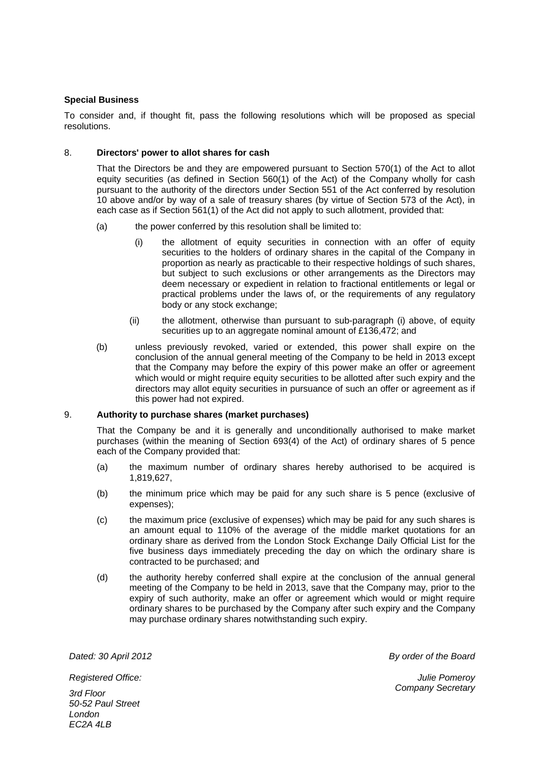# **Special Business**

To consider and, if thought fit, pass the following resolutions which will be proposed as special resolutions.

### 8. **Directors' power to allot shares for cash**

That the Directors be and they are empowered pursuant to Section 570(1) of the Act to allot equity securities (as defined in Section 560(1) of the Act) of the Company wholly for cash pursuant to the authority of the directors under Section 551 of the Act conferred by resolution 10 above and/or by way of a sale of treasury shares (by virtue of Section 573 of the Act), in each case as if Section 561(1) of the Act did not apply to such allotment, provided that:

- (a) the power conferred by this resolution shall be limited to:
	- (i) the allotment of equity securities in connection with an offer of equity securities to the holders of ordinary shares in the capital of the Company in proportion as nearly as practicable to their respective holdings of such shares, but subject to such exclusions or other arrangements as the Directors may deem necessary or expedient in relation to fractional entitlements or legal or practical problems under the laws of, or the requirements of any regulatory body or any stock exchange;
	- (ii) the allotment, otherwise than pursuant to sub-paragraph (i) above, of equity securities up to an aggregate nominal amount of £136,472; and
- (b) unless previously revoked, varied or extended, this power shall expire on the conclusion of the annual general meeting of the Company to be held in 2013 except that the Company may before the expiry of this power make an offer or agreement which would or might require equity securities to be allotted after such expiry and the directors may allot equity securities in pursuance of such an offer or agreement as if this power had not expired.

#### 9. **Authority to purchase shares (market purchases)**

That the Company be and it is generally and unconditionally authorised to make market purchases (within the meaning of Section 693(4) of the Act) of ordinary shares of 5 pence each of the Company provided that:

- (a) the maximum number of ordinary shares hereby authorised to be acquired is 1,819,627,
- (b) the minimum price which may be paid for any such share is 5 pence (exclusive of expenses);
- (c) the maximum price (exclusive of expenses) which may be paid for any such shares is an amount equal to 110% of the average of the middle market quotations for an ordinary share as derived from the London Stock Exchange Daily Official List for the five business days immediately preceding the day on which the ordinary share is contracted to be purchased; and
- (d) the authority hereby conferred shall expire at the conclusion of the annual general meeting of the Company to be held in 2013, save that the Company may, prior to the expiry of such authority, make an offer or agreement which would or might require ordinary shares to be purchased by the Company after such expiry and the Company may purchase ordinary shares notwithstanding such expiry.

*Dated: 30 April 2012 By order of the Board* 

*Julie Pomeroy Company Secretary* 

*Registered Office: 3rd Floor 50-52 Paul Street* 

*London EC2A 4LB*